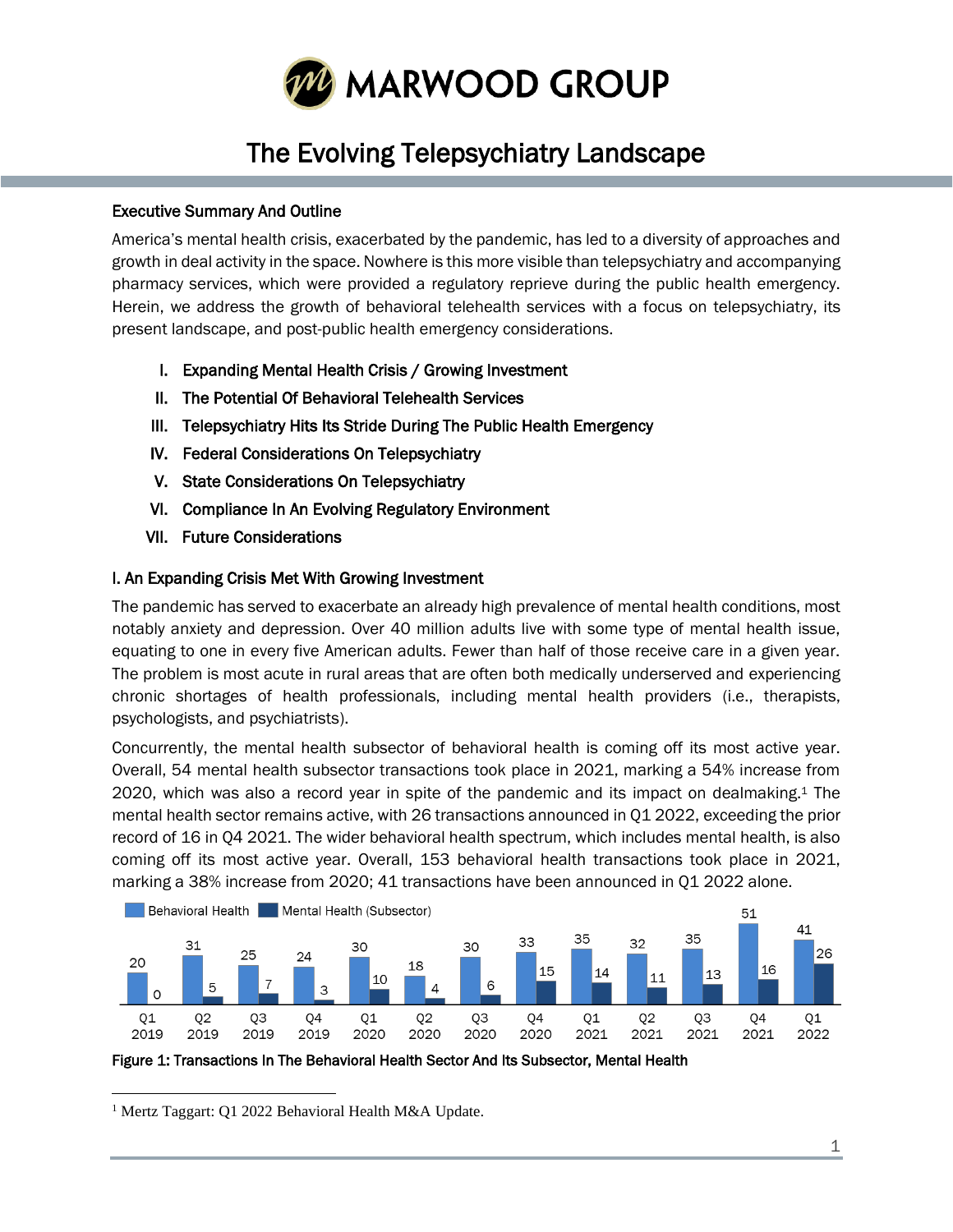

# The Evolving Telepsychiatry Landscape

# Executive Summary And Outline

America's mental health crisis, exacerbated by the pandemic, has led to a diversity of approaches and growth in deal activity in the space. Nowhere is this more visible than telepsychiatry and accompanying pharmacy services, which were provided a regulatory reprieve during the public health emergency. Herein, we address the growth of behavioral telehealth services with a focus on telepsychiatry, its present landscape, and post-public health emergency considerations.

- I. Expanding Mental Health Crisis / Growing Investment
- II. The Potential Of Behavioral Telehealth Services
- III. Telepsychiatry Hits Its Stride During The Public Health Emergency
- IV. Federal Considerations On Telepsychiatry
- V. State Considerations On Telepsychiatry
- VI. Compliance In An Evolving Regulatory Environment
- VII. Future Considerations

# I. An Expanding Crisis Met With Growing Investment

The pandemic has served to exacerbate an already high prevalence of mental health conditions, most notably anxiety and depression. Over 40 million adults live with some type of mental health issue, equating to one in every five American adults. Fewer than half of those receive care in a given year. The problem is most acute in rural areas that are often both medically underserved and experiencing chronic shortages of health professionals, including mental health providers (i.e., therapists, psychologists, and psychiatrists).

Concurrently, the mental health subsector of behavioral health is coming off its most active year. Overall, 54 mental health subsector transactions took place in 2021, marking a 54% increase from 2020, which was also a record year in spite of the pandemic and its impact on dealmaking.<sup>1</sup> The mental health sector remains active, with 26 transactions announced in Q1 2022, exceeding the prior record of 16 in Q4 2021. The wider behavioral health spectrum, which includes mental health, is also coming off its most active year. Overall, 153 behavioral health transactions took place in 2021, marking a 38% increase from 2020; 41 transactions have been announced in Q1 2022 alone.



Figure 1: Transactions In The Behavioral Health Sector And Its Subsector, Mental Health

<sup>1</sup> Mertz Taggart: Q1 2022 Behavioral Health M&A Update.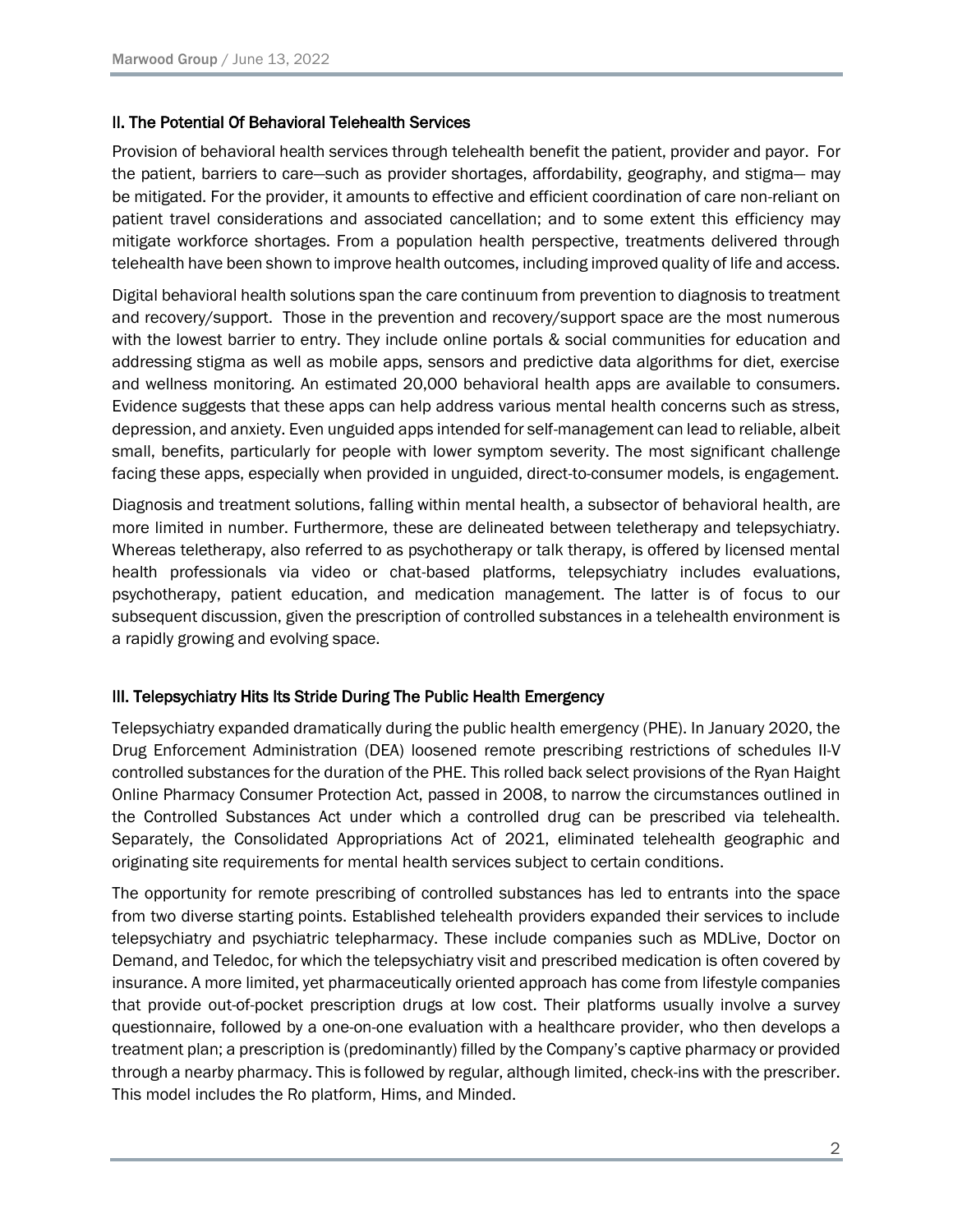### II. The Potential Of Behavioral Telehealth Services

Provision of behavioral health services through telehealth benefit the patient, provider and payor. For the patient, barriers to care—such as provider shortages, affordability, geography, and stigma— may be mitigated. For the provider, it amounts to effective and efficient coordination of care non-reliant on patient travel considerations and associated cancellation; and to some extent this efficiency may mitigate workforce shortages. From a population health perspective, treatments delivered through telehealth have been shown to improve health outcomes, including improved quality of life and access.

Digital behavioral health solutions span the care continuum from prevention to diagnosis to treatment and recovery/support. Those in the prevention and recovery/support space are the most numerous with the lowest barrier to entry. They include online portals & social communities for education and addressing stigma as well as mobile apps, sensors and predictive data algorithms for diet, exercise and wellness monitoring. An estimated 20,000 behavioral health apps are available to consumers. Evidence suggests that these apps can help address various mental health concerns such as stress, depression, and anxiety. Even unguided apps intended for self-management can lead to reliable, albeit small, benefits, particularly for people with lower symptom severity. The most significant challenge facing these apps, especially when provided in unguided, direct-to-consumer models, is engagement.

Diagnosis and treatment solutions, falling within mental health, a subsector of behavioral health, are more limited in number. Furthermore, these are delineated between teletherapy and telepsychiatry. Whereas teletherapy, also referred to as psychotherapy or talk therapy, is offered by licensed mental health professionals via video or chat-based platforms, telepsychiatry includes evaluations, psychotherapy, patient education, and medication management. The latter is of focus to our subsequent discussion, given the prescription of controlled substances in a telehealth environment is a rapidly growing and evolving space.

# III. Telepsychiatry Hits Its Stride During The Public Health Emergency

Telepsychiatry expanded dramatically during the public health emergency (PHE). In January 2020, the Drug Enforcement Administration (DEA) loosened remote prescribing restrictions of schedules II-V controlled substances for the duration of the PHE. This rolled back select provisions of the Ryan Haight Online Pharmacy Consumer Protection Act, passed in 2008, to narrow the circumstances outlined in the Controlled Substances Act under which a controlled drug can be prescribed via telehealth. Separately, the Consolidated Appropriations Act of 2021, eliminated telehealth geographic and originating site requirements for mental health services subject to certain conditions.

The opportunity for remote prescribing of controlled substances has led to entrants into the space from two diverse starting points. Established telehealth providers expanded their services to include telepsychiatry and psychiatric telepharmacy. These include companies such as MDLive, Doctor on Demand, and Teledoc, for which the telepsychiatry visit and prescribed medication is often covered by insurance. A more limited, yet pharmaceutically oriented approach has come from lifestyle companies that provide out-of-pocket prescription drugs at low cost. Their platforms usually involve a survey questionnaire, followed by a one-on-one evaluation with a healthcare provider, who then develops a treatment plan; a prescription is (predominantly) filled by the Company's captive pharmacy or provided through a nearby pharmacy. This is followed by regular, although limited, check-ins with the prescriber. This model includes the Ro platform, Hims, and Minded.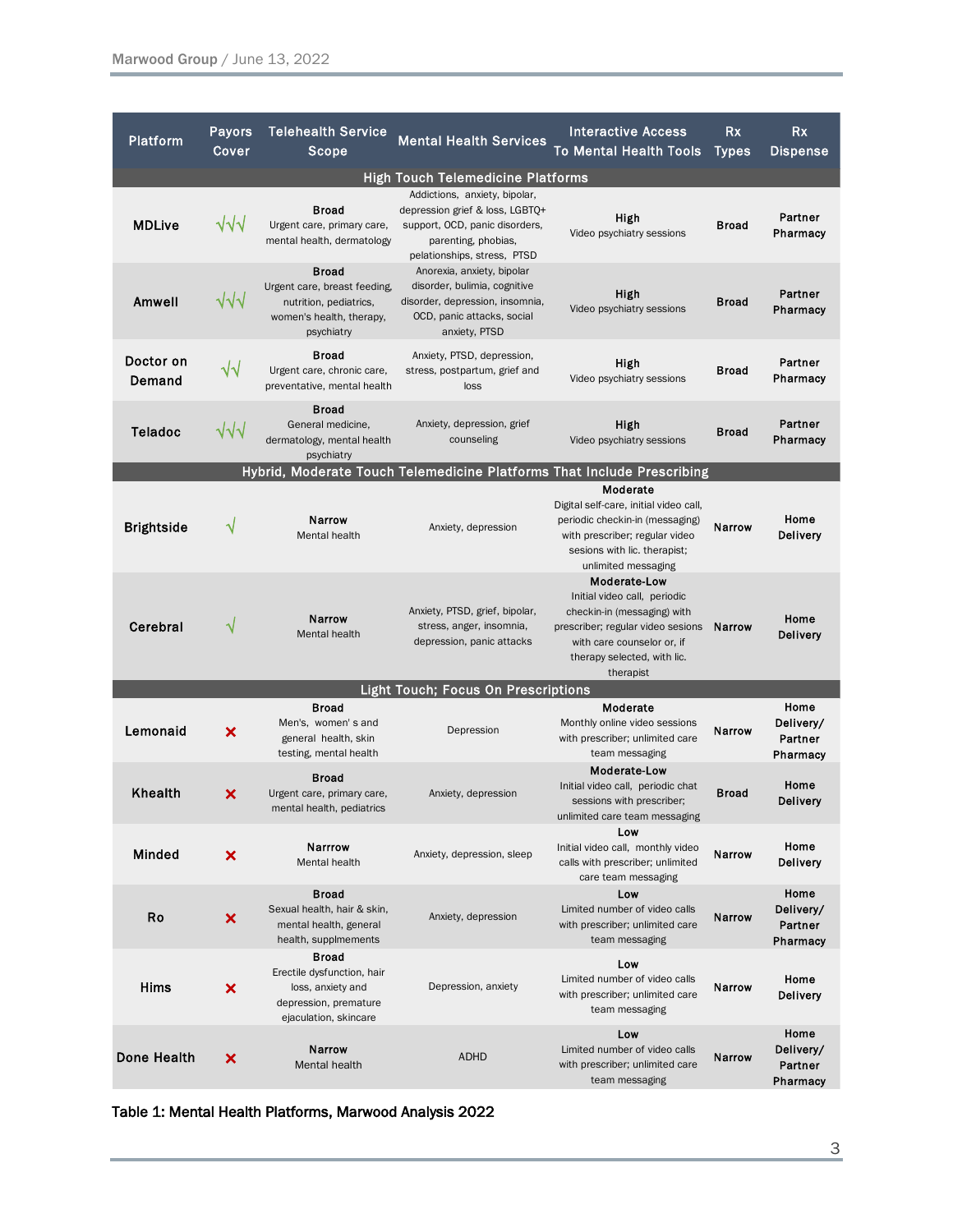| Platform                                                               | <b>Payors</b><br>Cover    | <b>Telehealth Service</b><br>Scope                                                                                | <b>Mental Health Services</b>                                                                                                                            | <b>Interactive Access</b><br><b>To Mental Health Tools</b>                                                                                                                                 | Rx<br><b>Types</b> | <b>Rx</b><br>Dispense                    |
|------------------------------------------------------------------------|---------------------------|-------------------------------------------------------------------------------------------------------------------|----------------------------------------------------------------------------------------------------------------------------------------------------------|--------------------------------------------------------------------------------------------------------------------------------------------------------------------------------------------|--------------------|------------------------------------------|
| <b>High Touch Telemedicine Platforms</b>                               |                           |                                                                                                                   |                                                                                                                                                          |                                                                                                                                                                                            |                    |                                          |
| <b>MDLive</b>                                                          | $\sqrt{2}$                | <b>Broad</b><br>Urgent care, primary care,<br>mental health, dermatology                                          | Addictions, anxiety, bipolar,<br>depression grief & loss, LGBTQ+<br>support, OCD, panic disorders,<br>parenting, phobias,<br>pelationships, stress, PTSD | High<br>Video psychiatry sessions                                                                                                                                                          | Broad              | Partner<br>Pharmacy                      |
| Amwell                                                                 | √√√                       | <b>Broad</b><br>Urgent care, breast feeding,<br>nutrition, pediatrics,<br>women's health, therapy,<br>psychiatry  | Anorexia, anxiety, bipolar<br>disorder, bulimia, cognitive<br>disorder, depression, insomnia,<br>OCD, panic attacks, social<br>anxiety, PTSD             | High<br>Video psychiatry sessions                                                                                                                                                          | Broad              | Partner<br>Pharmacy                      |
| Doctor on<br>Demand                                                    | √√                        | <b>Broad</b><br>Urgent care, chronic care,<br>preventative, mental health                                         | Anxiety, PTSD, depression,<br>stress, postpartum, grief and<br>loss                                                                                      | High<br>Video psychiatry sessions                                                                                                                                                          | Broad              | Partner<br>Pharmacy                      |
| <b>Teladoc</b>                                                         | $\sqrt{\sqrt{}}$          | <b>Broad</b><br>General medicine.<br>dermatology, mental health<br>psychiatry                                     | Anxiety, depression, grief<br>counseling                                                                                                                 | High<br>Video psychiatry sessions                                                                                                                                                          | <b>Broad</b>       | Partner<br>Pharmacy                      |
| Hybrid, Moderate Touch Telemedicine Platforms That Include Prescribing |                           |                                                                                                                   |                                                                                                                                                          |                                                                                                                                                                                            |                    |                                          |
| <b>Brightside</b>                                                      | ٦                         | Narrow<br>Mental health                                                                                           | Anxiety, depression                                                                                                                                      | Moderate<br>Digital self-care, initial video call,<br>periodic checkin-in (messaging)<br>with prescriber; regular video<br>sesions with lic. therapist;<br>unlimited messaging             | Narrow             | Home<br><b>Delivery</b>                  |
| Cerebral                                                               | ٦                         | Narrow<br>Mental health                                                                                           | Anxiety, PTSD, grief, bipolar,<br>stress, anger, insomnia,<br>depression, panic attacks                                                                  | Moderate-Low<br>Initial video call, periodic<br>checkin-in (messaging) with<br>prescriber; regular video sesions<br>with care counselor or, if<br>therapy selected, with lic.<br>therapist | <b>Narrow</b>      | Home<br><b>Delivery</b>                  |
| <b>Light Touch; Focus On Prescriptions</b>                             |                           |                                                                                                                   |                                                                                                                                                          |                                                                                                                                                                                            |                    |                                          |
| Lemonaid                                                               | ×                         | <b>Broad</b><br>Men's, women's and<br>general health, skin<br>testing, mental health                              | Depression                                                                                                                                               | Moderate<br>Monthly online video sessions<br>with prescriber; unlimited care<br>team messaging                                                                                             | Narrow             | Home<br>Delivery/<br>Partner<br>Pharmacy |
| Khealth                                                                | ×                         | <b>Broad</b><br>Urgent care, primary care,<br>mental health, pediatrics                                           | Anxiety, depression                                                                                                                                      | Moderate-Low<br>Initial video call, periodic chat<br>sessions with prescriber;<br>unlimited care team messaging                                                                            | <b>Broad</b>       | Home<br><b>Delivery</b>                  |
| <b>Minded</b>                                                          | ×                         | Narrrow<br>Mental health                                                                                          | Anxiety, depression, sleep                                                                                                                               | Low<br>Initial video call, monthly video<br>calls with prescriber; unlimited<br>care team messaging                                                                                        | Narrow             | Home<br><b>Delivery</b>                  |
| Ro                                                                     | $\boldsymbol{\mathsf{x}}$ | <b>Broad</b><br>Sexual health, hair & skin,<br>mental health, general<br>health, supplmements                     | Anxiety, depression                                                                                                                                      | Low<br>Limited number of video calls<br>with prescriber; unlimited care<br>team messaging                                                                                                  | Narrow             | Home<br>Delivery/<br>Partner<br>Pharmacy |
| Hims                                                                   | $\boldsymbol{\mathsf{x}}$ | <b>Broad</b><br>Erectile dysfunction, hair<br>loss, anxiety and<br>depression, premature<br>ejaculation, skincare | Depression, anxiety                                                                                                                                      | Low<br>Limited number of video calls<br>with prescriber; unlimited care<br>team messaging                                                                                                  | Narrow             | Home<br><b>Delivery</b>                  |
| <b>Done Health</b>                                                     | ×                         | Narrow<br>Mental health                                                                                           | <b>ADHD</b>                                                                                                                                              | Low<br>Limited number of video calls<br>with prescriber; unlimited care<br>team messaging                                                                                                  | <b>Narrow</b>      | Home<br>Delivery/<br>Partner<br>Pharmacy |

Table 1: Mental Health Platforms, Marwood Analysis 2022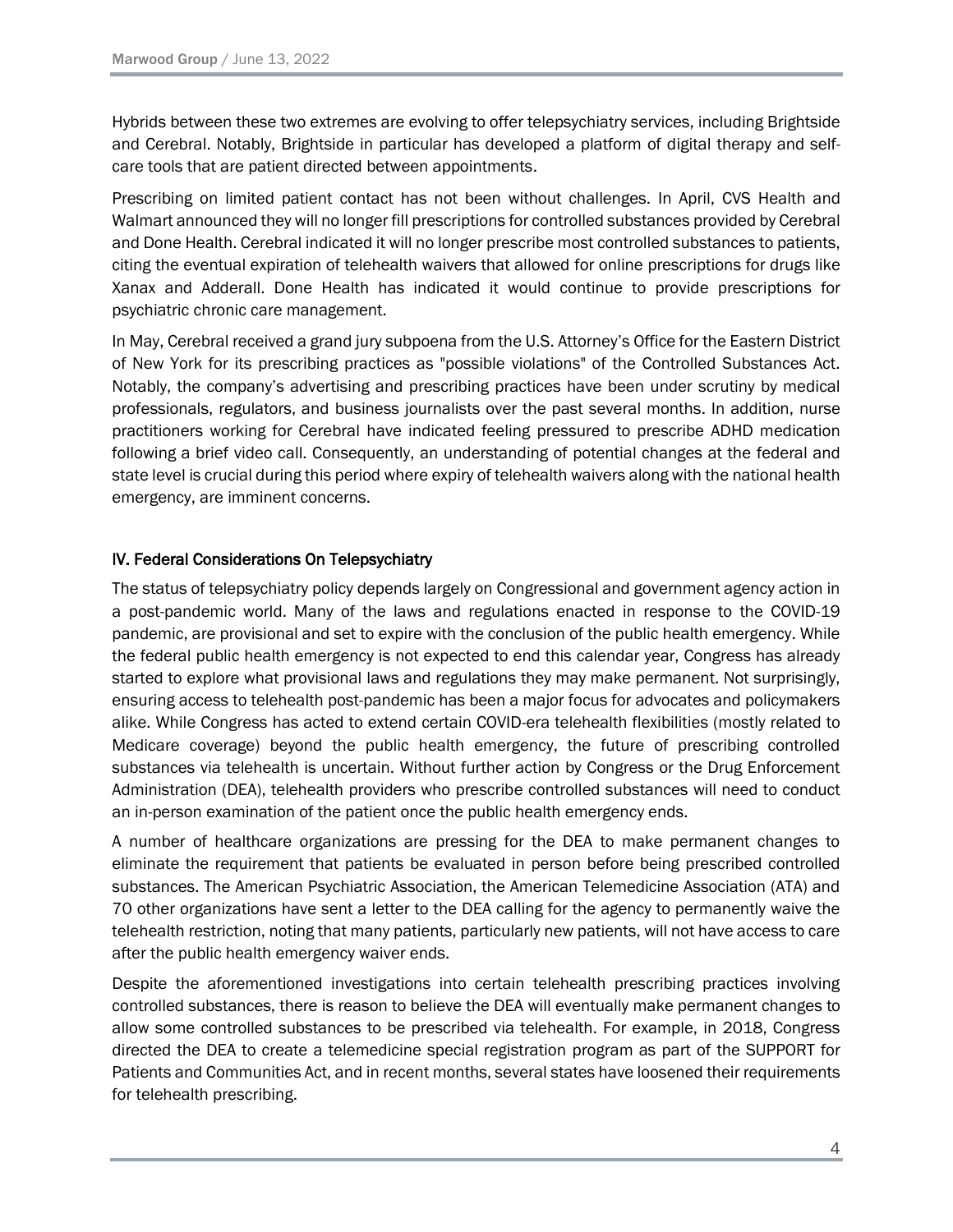Hybrids between these two extremes are evolving to offer telepsychiatry services, including Brightside and Cerebral. Notably, Brightside in particular has developed a platform of digital therapy and selfcare tools that are patient directed between appointments.

Prescribing on limited patient contact has not been without challenges. In April, CVS Health and Walmart announced they will no longer fill prescriptions for controlled substances provided by Cerebral and Done Health. Cerebral indicated it will no longer prescribe most controlled substances to patients, citing the eventual expiration of telehealth waivers that allowed for online prescriptions for drugs like Xanax and Adderall. Done Health has indicated it would continue to provide prescriptions for psychiatric chronic care management.

In May, Cerebral received a grand jury subpoena from the U.S. Attorney's Office for the Eastern District of New York for its prescribing practices as "possible violations" of the Controlled Substances Act. Notably, the company's advertising and prescribing practices have been under scrutiny by medical professionals, regulators, and business journalists over the past several months. In addition, nurse practitioners working for Cerebral have indicated feeling pressured to prescribe ADHD medication following a brief video call. Consequently, an understanding of potential changes at the federal and state level is crucial during this period where expiry of telehealth waivers along with the national health emergency, are imminent concerns.

# IV. Federal Considerations On Telepsychiatry

The status of telepsychiatry policy depends largely on Congressional and government agency action in a post-pandemic world. Many of the laws and regulations enacted in response to the COVID-19 pandemic, are provisional and set to expire with the conclusion of the public health emergency. While the federal public health emergency is not expected to end this calendar year, Congress has already started to explore what provisional laws and regulations they may make permanent. Not surprisingly, ensuring access to telehealth post-pandemic has been a major focus for advocates and policymakers alike. While Congress has acted to extend certain COVID-era telehealth flexibilities (mostly related to Medicare coverage) beyond the public health emergency, the future of prescribing controlled substances via telehealth is uncertain. Without further action by Congress or the Drug Enforcement Administration (DEA), telehealth providers who prescribe controlled substances will need to conduct an in-person examination of the patient once the public health emergency ends.

A number of healthcare organizations are pressing for the DEA to make permanent changes to eliminate the requirement that patients be evaluated in person before being prescribed controlled substances. The American Psychiatric Association, the American Telemedicine Association (ATA) and 70 other organizations have sent a letter to the DEA calling for the agency to permanently waive the telehealth restriction, noting that many patients, particularly new patients, will not have access to care after the public health emergency waiver ends.

Despite the aforementioned investigations into certain telehealth prescribing practices involving controlled substances, there is reason to believe the DEA will eventually make permanent changes to allow some controlled substances to be prescribed via telehealth. For example, in 2018, Congress directed the DEA to create a telemedicine special registration program as part of the SUPPORT for Patients and Communities Act, and in recent months, several states have loosened their requirements for telehealth prescribing.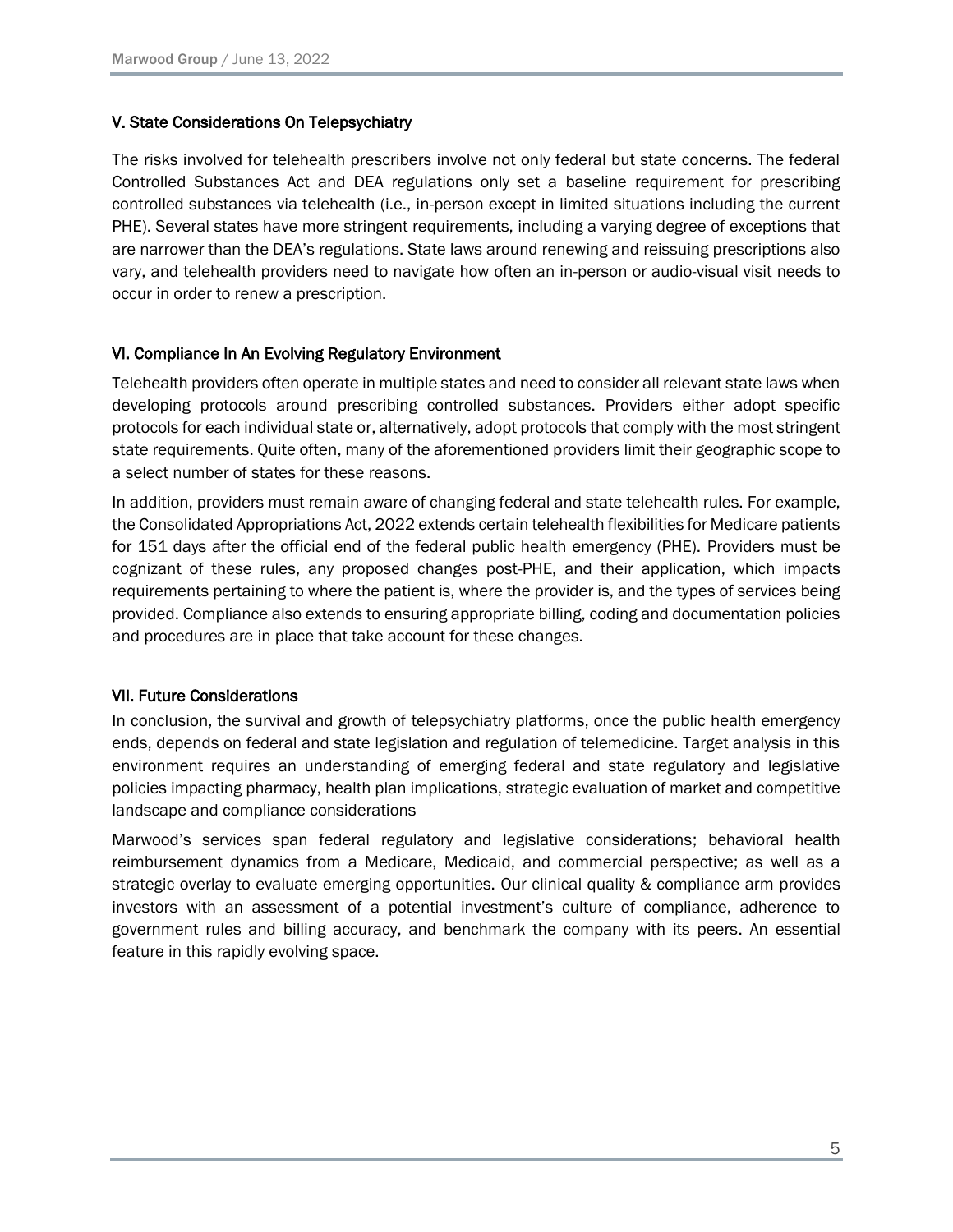### V. State Considerations On Telepsychiatry

The risks involved for telehealth prescribers involve not only federal but state concerns. The federal Controlled Substances Act and DEA regulations only set a baseline requirement for prescribing controlled substances via telehealth (i.e., in-person except in limited situations including the current PHE). Several states have more stringent requirements, including a varying degree of exceptions that are narrower than the DEA's regulations. State laws around renewing and reissuing prescriptions also vary, and telehealth providers need to navigate how often an in-person or audio-visual visit needs to occur in order to renew a prescription.

# VI. Compliance In An Evolving Regulatory Environment

Telehealth providers often operate in multiple states and need to consider all relevant state laws when developing protocols around prescribing controlled substances. Providers either adopt specific protocols for each individual state or, alternatively, adopt protocols that comply with the most stringent state requirements. Quite often, many of the aforementioned providers limit their geographic scope to a select number of states for these reasons.

In addition, providers must remain aware of changing federal and state telehealth rules. For example, the Consolidated Appropriations Act, 2022 extends certain telehealth flexibilities for Medicare patients for 151 days after the official end of the federal public health emergency (PHE). Providers must be cognizant of these rules, any proposed changes post-PHE, and their application, which impacts requirements pertaining to where the patient is, where the provider is, and the types of services being provided. Compliance also extends to ensuring appropriate billing, coding and documentation policies and procedures are in place that take account for these changes.

# VII. Future Considerations

In conclusion, the survival and growth of telepsychiatry platforms, once the public health emergency ends, depends on federal and state legislation and regulation of telemedicine. Target analysis in this environment requires an understanding of emerging federal and state regulatory and legislative policies impacting pharmacy, health plan implications, strategic evaluation of market and competitive landscape and compliance considerations

Marwood's services span federal regulatory and legislative considerations; behavioral health reimbursement dynamics from a Medicare, Medicaid, and commercial perspective; as well as a strategic overlay to evaluate emerging opportunities. Our clinical quality & compliance arm provides investors with an assessment of a potential investment's culture of compliance, adherence to government rules and billing accuracy, and benchmark the company with its peers. An essential feature in this rapidly evolving space.